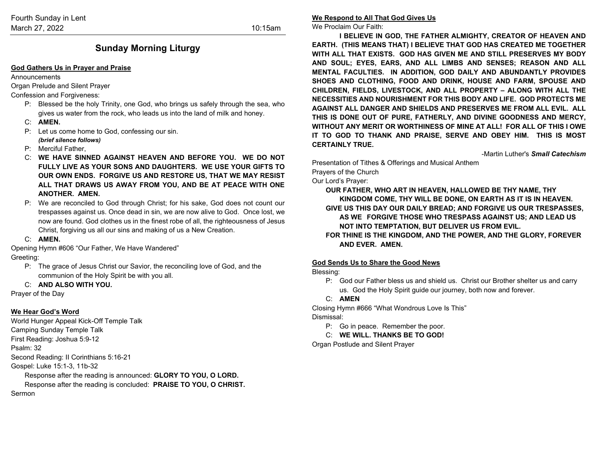# **Sunday Morning Liturgy**

#### **God Gathers Us in Prayer and Praise**

Announcements

Organ Prelude and Silent Prayer

Confession and Forgiveness:

- P: Blessed be the holy Trinity, one God, who brings us safely through the sea, who gives us water from the rock, who leads us into the land of milk and honey.
- C: **AMEN.**
- P: Let us come home to God, confessing our sin. *(brief silence follows)*
- P: Merciful Father,
- C: **WE HAVE SINNED AGAINST HEAVEN AND BEFORE YOU. WE DO NOT FULLY LIVE AS YOUR SONS AND DAUGHTERS. WE USE YOUR GIFTS TO OUR OWN ENDS. FORGIVE US AND RESTORE US, THAT WE MAY RESIST ALL THAT DRAWS US AWAY FROM YOU, AND BE AT PEACE WITH ONE ANOTHER. AMEN.**
- P: We are reconciled to God through Christ; for his sake, God does not count our trespasses against us. Once dead in sin, we are now alive to God. Once lost, we now are found. God clothes us in the finest robe of all, the righteousness of Jesus Christ, forgiving us all our sins and making of us a New Creation.
- C: **AMEN.**

Opening Hymn #606 "Our Father, We Have Wandered"

Greeting:

- P: The grace of Jesus Christ our Savior, the reconciling love of God, and the communion of the Holy Spirit be with you all.
- C: **AND ALSO WITH YOU.**

Prayer of the Day

#### **We Hear God's Word**

World Hunger Appeal Kick-Off Temple Talk Camping Sunday Temple Talk First Reading: Joshua 5:9-12 Psalm: 32 Second Reading: II Corinthians 5:16-21 Gospel: Luke 15:1-3, 11b-32 Response after the reading is announced: **GLORY TO YOU, O LORD.** Response after the reading is concluded: **PRAISE TO YOU, O CHRIST.**

Sermon

### **We Respond to All That God Gives Us**

We Proclaim Our Faith:

**I BELIEVE IN GOD, THE FATHER ALMIGHTY, CREATOR OF HEAVEN AND EARTH. (THIS MEANS THAT) I BELIEVE THAT GOD HAS CREATED ME TOGETHER WITH ALL THAT EXISTS. GOD HAS GIVEN ME AND STILL PRESERVES MY BODY AND SOUL; EYES, EARS, AND ALL LIMBS AND SENSES; REASON AND ALL MENTAL FACULTIES. IN ADDITION, GOD DAILY AND ABUNDANTLY PROVIDES SHOES AND CLOTHING, FOOD AND DRINK, HOUSE AND FARM, SPOUSE AND CHILDREN, FIELDS, LIVESTOCK, AND ALL PROPERTY – ALONG WITH ALL THE NECESSITIES AND NOURISHMENT FOR THIS BODY AND LIFE. GOD PROTECTS ME AGAINST ALL DANGER AND SHIELDS AND PRESERVES ME FROM ALL EVIL. ALL THIS IS DONE OUT OF PURE, FATHERLY, AND DIVINE GOODNESS AND MERCY, WITHOUT ANY MERIT OR WORTHINESS OF MINE AT ALL! FOR ALL OF THIS I OWE IT TO GOD TO THANK AND PRAISE, SERVE AND OBEY HIM. THIS IS MOST CERTAINLY TRUE.**

-Martin Luther's *Small Catechism*

Presentation of Tithes & Offerings and Musical Anthem

Prayers of the Church

Our Lord's Prayer:

**OUR FATHER, WHO ART IN HEAVEN, HALLOWED BE THY NAME, THY KINGDOM COME, THY WILL BE DONE, ON EARTH AS IT IS IN HEAVEN. GIVE US THIS DAY OUR DAILY BREAD; AND FORGIVE US OUR TRESPASSES, AS WE FORGIVE THOSE WHO TRESPASS AGAINST US; AND LEAD US NOT INTO TEMPTATION, BUT DELIVER US FROM EVIL.**

**FOR THINE IS THE KINGDOM, AND THE POWER, AND THE GLORY, FOREVER AND EVER. AMEN.**

#### **God Sends Us to Share the Good News**

Blessing:

P: God our Father bless us and shield us. Christ our Brother shelter us and carry us. God the Holy Spirit guide our journey, both now and forever.

#### C: **AMEN**

Closing Hymn #666 "What Wondrous Love Is This"

Dismissal:

P: Go in peace. Remember the poor.

C: **WE WILL. THANKS BE TO GOD!**

Organ Postlude and Silent Prayer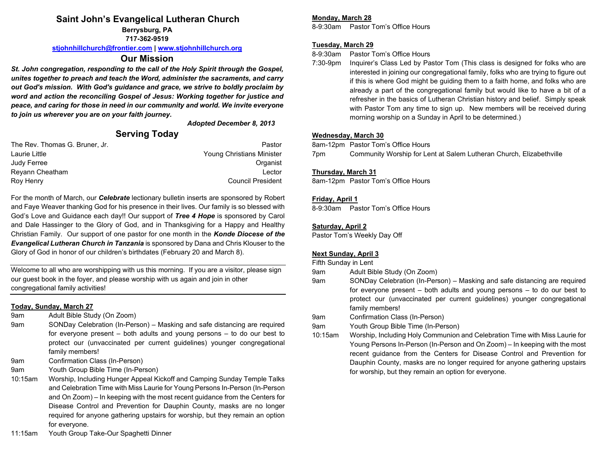# **Saint John's Evangelical Lutheran Church**

**Berrysburg, PA**

**717-362-9519**

**[stjohnhillchurch@frontier.com](mailto:stjohnhillchurch@frontier.com) | [www.stjohnhillchurch.org](http://www.stjohnhillchurch.org/)**

## **Our Mission**

*St. John congregation, responding to the call of the Holy Spirit through the Gospel, unites together to preach and teach the Word, administer the sacraments, and carry out God's mission. With God's guidance and grace, we strive to boldly proclaim by word and action the reconciling Gospel of Jesus: Working together for justice and peace, and caring for those in need in our community and world. We invite everyone to join us wherever you are on your faith journey.*

#### *Adopted December 8, 2013*

# **Serving Today**

| The Rev. Thomas G. Bruner, Jr. | Pastor                    |
|--------------------------------|---------------------------|
| Laurie Little                  | Young Christians Minister |
| Judy Ferree                    | Organist                  |
| Reyann Cheatham                | Lector                    |
| Roy Henry                      | <b>Council President</b>  |

For the month of March, our *Celebrate* lectionary bulletin inserts are sponsored by Robert and Faye Weaver thanking God for his presence in their lives. Our family is so blessed with God's Love and Guidance each day!! Our support of *Tree 4 Hope* is sponsored by Carol and Dale Hassinger to the Glory of God, and in Thanksgiving for a Happy and Healthy Christian Family. Our support of one pastor for one month in the *Konde Diocese of the Evangelical Lutheran Church in Tanzania* is sponsored by Dana and Chris Klouser to the Glory of God in honor of our children's birthdates (February 20 and March 8).

Welcome to all who are worshipping with us this morning. If you are a visitor, please sign our guest book in the foyer, and please worship with us again and join in other congregational family activities!

### **Today, Sunday, March 27**

9am Adult Bible Study (On Zoom)

- 9am SONDay Celebration (In-Person) Masking and safe distancing are required for everyone present – both adults and young persons – to do our best to protect our (unvaccinated per current guidelines) younger congregational family members!
- 9am Confirmation Class (In-Person)
- 9am Youth Group Bible Time (In-Person)
- 10:15am Worship, Including Hunger Appeal Kickoff and Camping Sunday Temple Talks and Celebration Time with Miss Laurie for Young Persons In-Person (In-Person and On Zoom) – In keeping with the most recent guidance from the Centers for Disease Control and Prevention for Dauphin County, masks are no longer required for anyone gathering upstairs for worship, but they remain an option for everyone.
- 11:15am Youth Group Take-Our Spaghetti Dinner

#### **Monday, March 28**

8-9:30am Pastor Tom's Office Hours

#### **Tuesday, March 29**

8-9:30am Pastor Tom's Office Hours

7:30-9pm Inquirer's Class Led by Pastor Tom (This class is designed for folks who are interested in joining our congregational family, folks who are trying to figure out if this is where God might be guiding them to a faith home, and folks who are already a part of the congregational family but would like to have a bit of a refresher in the basics of Lutheran Christian history and belief. Simply speak with Pastor Tom any time to sign up. New members will be received during morning worship on a Sunday in April to be determined.)

### **Wednesday, March 30**

8am-12pm Pastor Tom's Office Hours

7pm Community Worship for Lent at Salem Lutheran Church, Elizabethville

#### **Thursday, March 31**

8am-12pm Pastor Tom's Office Hours

#### **Friday, April 1**

8-9:30am Pastor Tom's Office Hours

### **Saturday, April 2**

Pastor Tom's Weekly Day Off

### **Next Sunday, April 3**

Fifth Sunday in Lent

- 9am Adult Bible Study (On Zoom)
- 9am SONDay Celebration (In-Person) Masking and safe distancing are required for everyone present – both adults and young persons – to do our best to protect our (unvaccinated per current guidelines) younger congregational family members!
- 9am Confirmation Class (In-Person)
- 9am Youth Group Bible Time (In-Person)
- 10:15am Worship, Including Holy Communion and Celebration Time with Miss Laurie for Young Persons In-Person (In-Person and On Zoom) – In keeping with the most recent guidance from the Centers for Disease Control and Prevention for Dauphin County, masks are no longer required for anyone gathering upstairs for worship, but they remain an option for everyone.